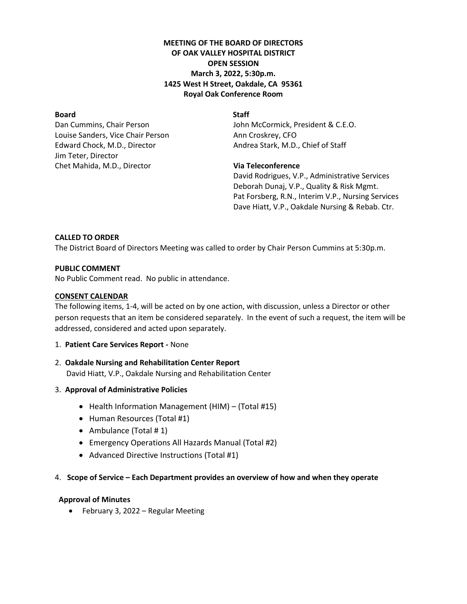# **MEETING OF THE BOARD OF DIRECTORS OF OAK VALLEY HOSPITAL DISTRICT OPEN SESSION March 3, 2022, 5:30p.m. 1425 West H Street, Oakdale, CA 95361 Royal Oak Conference Room**

# **Board** Staff

Louise Sanders, Vice Chair Person Ann Croskrey, CFO Edward Chock, M.D., Director **Andrea Stark, M.D., Chief of Staff** Jim Teter, Director Chet Mahida, M.D., Director **Via Teleconference**

Dan Cummins, Chair Person **John McCormick, President & C.E.O.** 

David Rodrigues, V.P., Administrative Services Deborah Dunaj, V.P., Quality & Risk Mgmt. Pat Forsberg, R.N., Interim V.P., Nursing Services Dave Hiatt, V.P., Oakdale Nursing & Rebab. Ctr.

# **CALLED TO ORDER**

The District Board of Directors Meeting was called to order by Chair Person Cummins at 5:30p.m.

# **PUBLIC COMMENT**

No Public Comment read. No public in attendance.

# **CONSENT CALENDAR**

The following items, 1-4, will be acted on by one action, with discussion, unless a Director or other person requests that an item be considered separately. In the event of such a request, the item will be addressed, considered and acted upon separately.

1. **Patient Care Services Report -** None

# 2. **Oakdale Nursing and Rehabilitation Center Report** David Hiatt, V.P., Oakdale Nursing and Rehabilitation Center

- 3. **Approval of Administrative Policies**
	- Health Information Management (HIM) (Total #15)
	- Human Resources (Total #1)
	- Ambulance (Total # 1)
	- Emergency Operations All Hazards Manual (Total #2)
	- Advanced Directive Instructions (Total #1)

# 4. **Scope of Service – Each Department provides an overview of how and when they operate**

# **Approval of Minutes**

• February 3, 2022 – Regular Meeting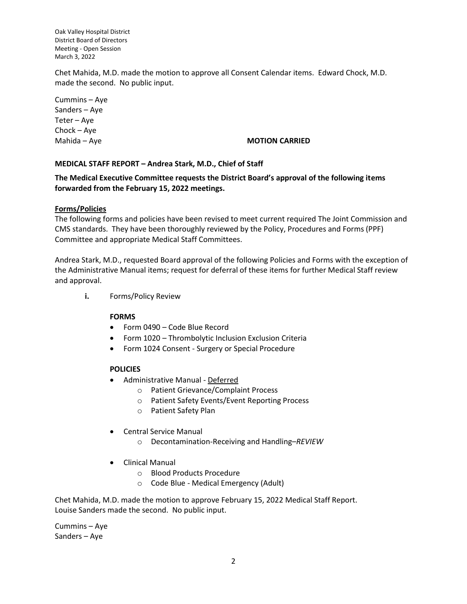Chet Mahida, M.D. made the motion to approve all Consent Calendar items. Edward Chock, M.D. made the second. No public input.

Cummins – Aye Sanders – Aye Teter – Aye Chock – Aye

# Mahida – Aye **MOTION CARRIED**

### **MEDICAL STAFF REPORT – Andrea Stark, M.D., Chief of Staff**

**The Medical Executive Committee requests the District Board's approval of the following items forwarded from the February 15, 2022 meetings.**

#### **Forms/Policies**

The following forms and policies have been revised to meet current required The Joint Commission and CMS standards. They have been thoroughly reviewed by the Policy, Procedures and Forms (PPF) Committee and appropriate Medical Staff Committees.

Andrea Stark, M.D., requested Board approval of the following Policies and Forms with the exception of the Administrative Manual items; request for deferral of these items for further Medical Staff review and approval.

**i.** Forms/Policy Review

#### **FORMS**

- Form 0490 Code Blue Record
- Form 1020 Thrombolytic Inclusion Exclusion Criteria
- Form 1024 Consent Surgery or Special Procedure

### **POLICIES**

- Administrative Manual Deferred
	- o Patient Grievance/Complaint Process
	- o Patient Safety Events/Event Reporting Process
	- o Patient Safety Plan
- Central Service Manual
	- o Decontamination-Receiving and Handling–*REVIEW*
- Clinical Manual
	- o Blood Products Procedure
	- o Code Blue Medical Emergency (Adult)

Chet Mahida, M.D. made the motion to approve February 15, 2022 Medical Staff Report. Louise Sanders made the second. No public input.

Cummins – Aye Sanders – Aye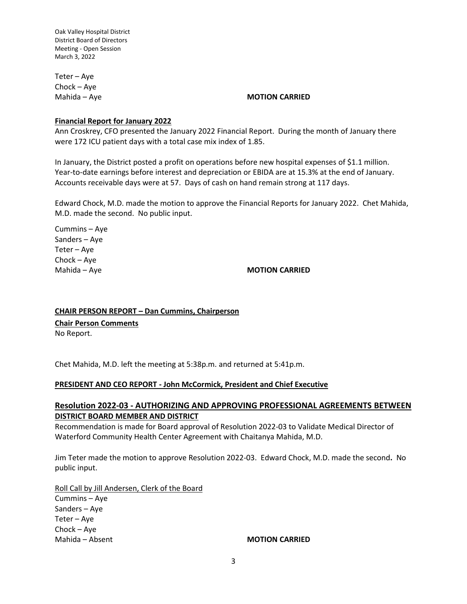Teter – Aye Chock – Aye

#### Mahida – Aye **MOTION CARRIED**

#### **Financial Report for January 2022**

Ann Croskrey, CFO presented the January 2022 Financial Report. During the month of January there were 172 ICU patient days with a total case mix index of 1.85.

In January, the District posted a profit on operations before new hospital expenses of \$1.1 million. Year-to-date earnings before interest and depreciation or EBIDA are at 15.3% at the end of January. Accounts receivable days were at 57. Days of cash on hand remain strong at 117 days.

Edward Chock, M.D. made the motion to approve the Financial Reports for January 2022. Chet Mahida, M.D. made the second. No public input.

Cummins – Aye Sanders – Aye Teter – Aye Chock – Aye

Mahida – Aye **MOTION CARRIED** 

#### **CHAIR PERSON REPORT – Dan Cummins, Chairperson**

**Chair Person Comments**

No Report.

Chet Mahida, M.D. left the meeting at 5:38p.m. and returned at 5:41p.m.

#### **PRESIDENT AND CEO REPORT - John McCormick, President and Chief Executive**

# **Resolution 2022-03 - AUTHORIZING AND APPROVING PROFESSIONAL AGREEMENTS BETWEEN DISTRICT BOARD MEMBER AND DISTRICT**

Recommendation is made for Board approval of Resolution 2022-03 to Validate Medical Director of Waterford Community Health Center Agreement with Chaitanya Mahida, M.D.

Jim Teter made the motion to approve Resolution 2022-03. Edward Chock, M.D. made the second**.** No public input.

Roll Call by Jill Andersen, Clerk of the Board Cummins – Aye Sanders – Aye Teter – Aye Chock – Aye Mahida – Absent **MOTION CARRIED**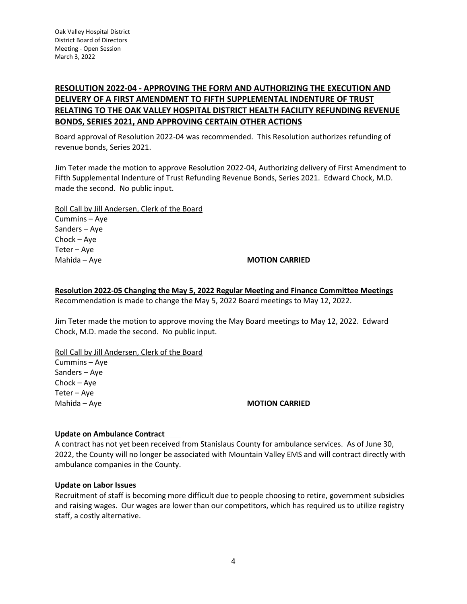# **RESOLUTION 2022-04 - APPROVING THE FORM AND AUTHORIZING THE EXECUTION AND DELIVERY OF A FIRST AMENDMENT TO FIFTH SUPPLEMENTAL INDENTURE OF TRUST RELATING TO THE OAK VALLEY HOSPITAL DISTRICT HEALTH FACILITY REFUNDING REVENUE BONDS, SERIES 2021, AND APPROVING CERTAIN OTHER ACTIONS**

Board approval of Resolution 2022-04 was recommended. This Resolution authorizes refunding of revenue bonds, Series 2021.

Jim Teter made the motion to approve Resolution 2022-04, Authorizing delivery of First Amendment to Fifth Supplemental Indenture of Trust Refunding Revenue Bonds, Series 2021. Edward Chock, M.D. made the second. No public input.

Roll Call by Jill Andersen, Clerk of the Board Cummins – Aye Sanders – Aye

Chock – Aye Teter – Aye

# Mahida – Aye **MOTION CARRIED**

**Resolution 2022-05 Changing the May 5, 2022 Regular Meeting and Finance Committee Meetings** Recommendation is made to change the May 5, 2022 Board meetings to May 12, 2022.

Jim Teter made the motion to approve moving the May Board meetings to May 12, 2022. Edward Chock, M.D. made the second. No public input.

Roll Call by Jill Andersen, Clerk of the Board

Cummins – Aye Sanders – Aye Chock – Aye Teter – Aye

# Mahida – Aye **MOTION CARRIED**

# **Update on Ambulance Contract**

A contract has not yet been received from Stanislaus County for ambulance services. As of June 30, 2022, the County will no longer be associated with Mountain Valley EMS and will contract directly with ambulance companies in the County.

### **Update on Labor Issues**

Recruitment of staff is becoming more difficult due to people choosing to retire, government subsidies and raising wages. Our wages are lower than our competitors, which has required us to utilize registry staff, a costly alternative.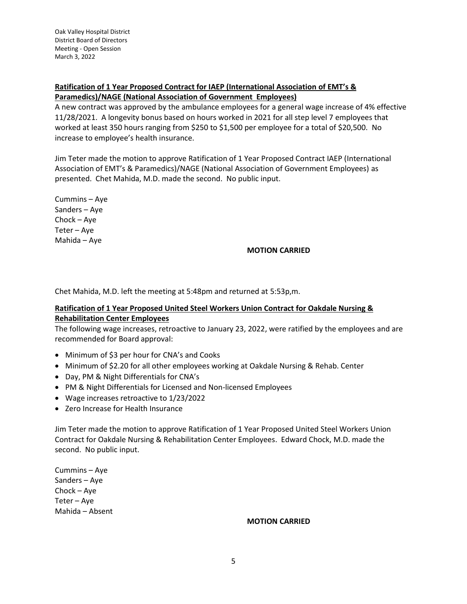# **Ratification of 1 Year Proposed Contract for IAEP (International Association of EMT's & Paramedics)/NAGE (National Association of Government Employees)**

A new contract was approved by the ambulance employees for a general wage increase of 4% effective 11/28/2021. A longevity bonus based on hours worked in 2021 for all step level 7 employees that worked at least 350 hours ranging from \$250 to \$1,500 per employee for a total of \$20,500. No increase to employee's health insurance.

Jim Teter made the motion to approve Ratification of 1 Year Proposed Contract IAEP (International Association of EMT's & Paramedics)/NAGE (National Association of Government Employees) as presented. Chet Mahida, M.D. made the second. No public input.

Cummins – Aye Sanders – Aye Chock – Aye Teter – Aye Mahida – Aye

#### **MOTION CARRIED**

Chet Mahida, M.D. left the meeting at 5:48pm and returned at 5:53p,m.

### **Ratification of 1 Year Proposed United Steel Workers Union Contract for Oakdale Nursing & Rehabilitation Center Employees**

The following wage increases, retroactive to January 23, 2022, were ratified by the employees and are recommended for Board approval:

- Minimum of \$3 per hour for CNA's and Cooks
- Minimum of \$2.20 for all other employees working at Oakdale Nursing & Rehab. Center
- Day, PM & Night Differentials for CNA's
- PM & Night Differentials for Licensed and Non-licensed Employees
- Wage increases retroactive to 1/23/2022
- Zero Increase for Health Insurance

Jim Teter made the motion to approve Ratification of 1 Year Proposed United Steel Workers Union Contract for Oakdale Nursing & Rehabilitation Center Employees. Edward Chock, M.D. made the second. No public input.

Cummins – Aye Sanders – Aye Chock – Aye Teter – Aye Mahida – Absent

#### **MOTION CARRIED**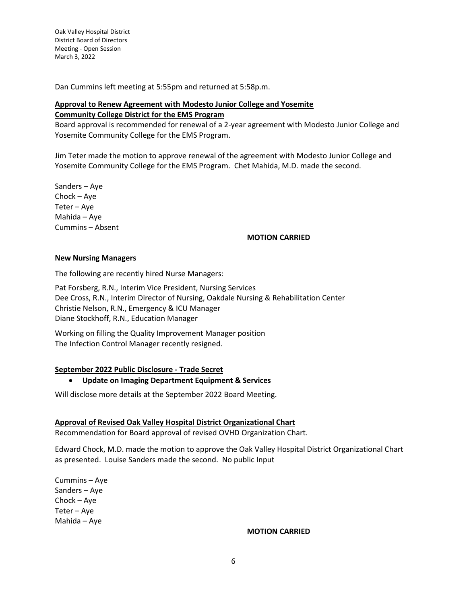Dan Cummins left meeting at 5:55pm and returned at 5:58p.m.

# **Approval to Renew Agreement with Modesto Junior College and Yosemite Community College District for the EMS Program**

Board approval is recommended for renewal of a 2-year agreement with Modesto Junior College and Yosemite Community College for the EMS Program.

Jim Teter made the motion to approve renewal of the agreement with Modesto Junior College and Yosemite Community College for the EMS Program. Chet Mahida, M.D. made the second.

Sanders – Aye Chock – Aye Teter – Aye Mahida – Aye Cummins – Absent

### **MOTION CARRIED**

#### **New Nursing Managers**

The following are recently hired Nurse Managers:

Pat Forsberg, R.N., Interim Vice President, Nursing Services Dee Cross, R.N., Interim Director of Nursing, Oakdale Nursing & Rehabilitation Center Christie Nelson, R.N., Emergency & ICU Manager Diane Stockhoff, R.N., Education Manager

Working on filling the Quality Improvement Manager position The Infection Control Manager recently resigned.

### **September 2022 Public Disclosure - Trade Secret**

#### • **Update on Imaging Department Equipment & Services**

Will disclose more details at the September 2022 Board Meeting.

#### **Approval of Revised Oak Valley Hospital District Organizational Chart**

Recommendation for Board approval of revised OVHD Organization Chart.

Edward Chock, M.D. made the motion to approve the Oak Valley Hospital District Organizational Chart as presented. Louise Sanders made the second. No public Input

Cummins – Aye Sanders – Aye Chock – Aye Teter – Aye Mahida – Aye

#### **MOTION CARRIED**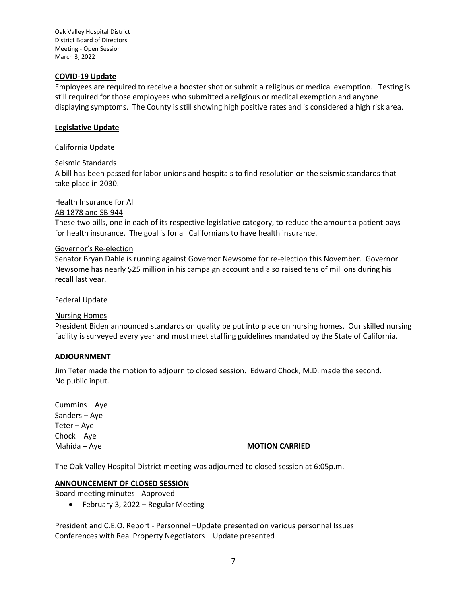#### **COVID-19 Update**

Employees are required to receive a booster shot or submit a religious or medical exemption. Testing is still required for those employees who submitted a religious or medical exemption and anyone displaying symptoms. The County is still showing high positive rates and is considered a high risk area.

#### **Legislative Update**

#### California Update

#### Seismic Standards

A bill has been passed for labor unions and hospitals to find resolution on the seismic standards that take place in 2030.

#### Health Insurance for All

# AB 1878 and SB 944

These two bills, one in each of its respective legislative category, to reduce the amount a patient pays for health insurance. The goal is for all Californians to have health insurance.

#### Governor's Re-election

Senator Bryan Dahle is running against Governor Newsome for re-election this November. Governor Newsome has nearly \$25 million in his campaign account and also raised tens of millions during his recall last year.

#### Federal Update

#### Nursing Homes

President Biden announced standards on quality be put into place on nursing homes. Our skilled nursing facility is surveyed every year and must meet staffing guidelines mandated by the State of California.

#### **ADJOURNMENT**

Jim Teter made the motion to adjourn to closed session. Edward Chock, M.D. made the second. No public input.

Cummins – Aye Sanders – Aye Teter – Aye Chock – Aye

#### Mahida – Aye **MOTION CARRIED**

The Oak Valley Hospital District meeting was adjourned to closed session at 6:05p.m.

### **ANNOUNCEMENT OF CLOSED SESSION**

Board meeting minutes - Approved

• February 3, 2022 – Regular Meeting

President and C.E.O. Report - Personnel –Update presented on various personnel Issues Conferences with Real Property Negotiators – Update presented